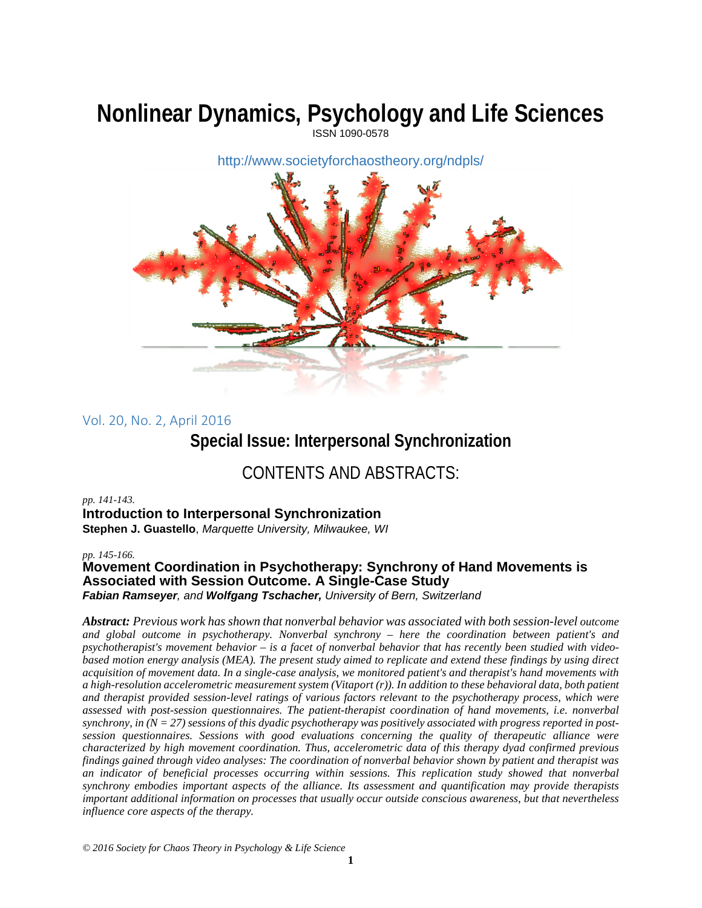# **Nonlinear Dynamics, Psychology and Life Sciences**



Vol. 20, No. 2, April 2016

## **Special Issue: Interpersonal Synchronization**

# CONTENTS AND ABSTRACTS:

#### *pp. 141-143.*

#### **Introduction to Interpersonal Synchronization**

**Stephen J. Guastello**, *Marquette University, Milwaukee, WI*

*pp. 145-166.*

## **Movement Coordination in Psychotherapy: Synchrony of Hand Movements is Associated with Session Outcome. A Single-Case Study**

*Fabian Ramseyer, and Wolfgang Tschacher, University of Bern, Switzerland*

*Abstract: Previous work has shown that nonverbal behavior was associated with both session-level outcome and global outcome in psychotherapy. Nonverbal synchrony – here the coordination between patient's and psychotherapist's movement behavior – is a facet of nonverbal behavior that has recently been studied with videobased motion energy analysis (MEA). The present study aimed to replicate and extend these findings by using direct acquisition of movement data. In a single-case analysis, we monitored patient's and therapist's hand movements with a high-resolution accelerometric measurement system (Vitaport (r)). In addition to these behavioral data, both patient and therapist provided session-level ratings of various factors relevant to the psychotherapy process, which were assessed with post-session questionnaires. The patient-therapist coordination of hand movements, i.e. nonverbal synchrony, in (N = 27) sessions of this dyadic psychotherapy was positively associated with progress reported in postsession questionnaires. Sessions with good evaluations concerning the quality of therapeutic alliance were characterized by high movement coordination. Thus, accelerometric data of this therapy dyad confirmed previous findings gained through video analyses: The coordination of nonverbal behavior shown by patient and therapist was an indicator of beneficial processes occurring within sessions. This replication study showed that nonverbal synchrony embodies important aspects of the alliance. Its assessment and quantification may provide therapists important additional information on processes that usually occur outside conscious awareness, but that nevertheless influence core aspects of the therapy.*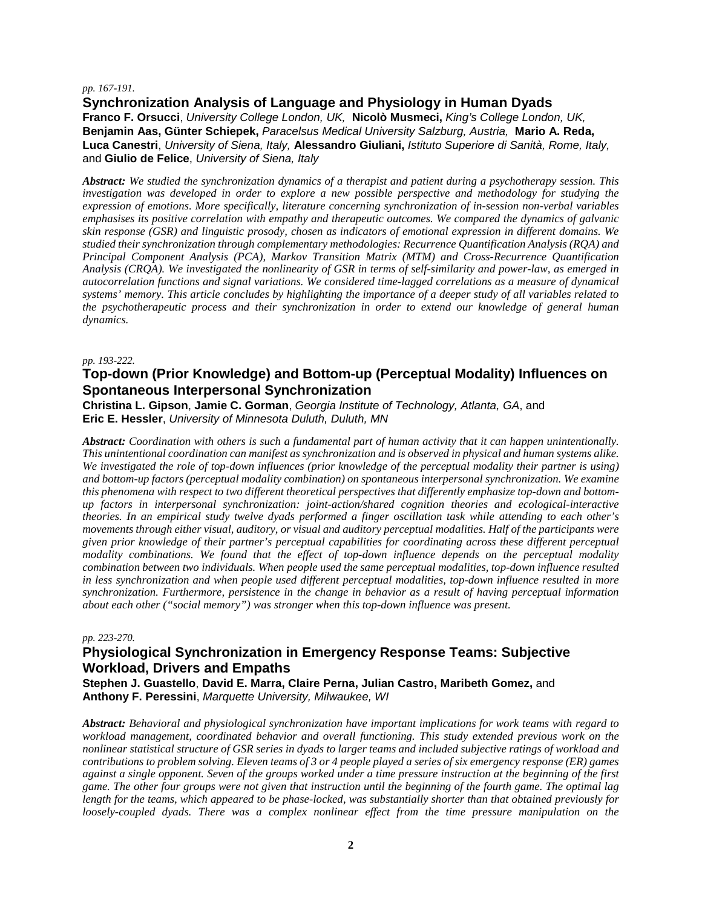#### *pp. 167-191.*

#### **Synchronization Analysis of Language and Physiology in Human Dyads**

**Franco F. Orsucci**, *University College London, UK,* **Nicolò Musmeci,** *King's College London, UK,* **Benjamin Aas, Günter Schiepek,** *Paracelsus Medical University Salzburg, Austria,* **Mario A. Reda, Luca Canestri**, *University of Siena, Italy,* **Alessandro Giuliani,** *Istituto Superiore di Sanità, Rome, Italy,* and **Giulio de Felice**, *University of Siena, Italy*

*Abstract: We studied the synchronization dynamics of a therapist and patient during a psychotherapy session. This investigation was developed in order to explore a new possible perspective and methodology for studying the expression of emotions. More specifically, literature concerning synchronization of in-session non-verbal variables emphasises its positive correlation with empathy and therapeutic outcomes. We compared the dynamics of galvanic skin response (GSR) and linguistic prosody, chosen as indicators of emotional expression in different domains. We studied their synchronization through complementary methodologies: Recurrence Quantification Analysis (RQA) and Principal Component Analysis (PCA), Markov Transition Matrix (MTM) and Cross-Recurrence Quantification Analysis (CRQA). We investigated the nonlinearity of GSR in terms of self-similarity and power-law, as emerged in autocorrelation functions and signal variations. We considered time-lagged correlations as a measure of dynamical systems' memory. This article concludes by highlighting the importance of a deeper study of all variables related to the psychotherapeutic process and their synchronization in order to extend our knowledge of general human dynamics.*

#### *pp. 193-222.*

#### **Top-down (Prior Knowledge) and Bottom-up (Perceptual Modality) Influences on Spontaneous Interpersonal Synchronization**

**Christina L. Gipson**, **Jamie C. Gorman**, *Georgia Institute of Technology, Atlanta, GA*, and **Eric E. Hessler**, *University of Minnesota Duluth, Duluth, MN*

*Abstract: Coordination with others is such a fundamental part of human activity that it can happen unintentionally. This unintentional coordination can manifest as synchronization and is observed in physical and human systems alike. We investigated the role of top-down influences (prior knowledge of the perceptual modality their partner is using) and bottom-up factors (perceptual modality combination) on spontaneous interpersonal synchronization. We examine this phenomena with respect to two different theoretical perspectives that differently emphasize top-down and bottomup factors in interpersonal synchronization: joint-action/shared cognition theories and ecological-interactive theories. In an empirical study twelve dyads performed a finger oscillation task while attending to each other's movements through either visual, auditory, or visual and auditory perceptual modalities. Half of the participants were given prior knowledge of their partner's perceptual capabilities for coordinating across these different perceptual modality combinations. We found that the effect of top-down influence depends on the perceptual modality combination between two individuals. When people used the same perceptual modalities, top-down influence resulted in less synchronization and when people used different perceptual modalities, top-down influence resulted in more synchronization. Furthermore, persistence in the change in behavior as a result of having perceptual information about each other ("social memory") was stronger when this top-down influence was present.* 

#### *pp. 223-270.*

#### **Physiological Synchronization in Emergency Response Teams: Subjective Workload, Drivers and Empaths**

**Stephen J. Guastello**, **David E. Marra, Claire Perna, Julian Castro, Maribeth Gomez,** and **Anthony F. Peressini**, *Marquette University, Milwaukee, WI*

*Abstract: Behavioral and physiological synchronization have important implications for work teams with regard to workload management, coordinated behavior and overall functioning. This study extended previous work on the nonlinear statistical structure of GSR series in dyads to larger teams and included subjective ratings of workload and contributions to problem solving. Eleven teams of 3 or 4 people played a series of six emergency response (ER) games against a single opponent. Seven of the groups worked under a time pressure instruction at the beginning of the first game. The other four groups were not given that instruction until the beginning of the fourth game. The optimal lag length for the teams, which appeared to be phase-locked, was substantially shorter than that obtained previously for loosely-coupled dyads. There was a complex nonlinear effect from the time pressure manipulation on the*